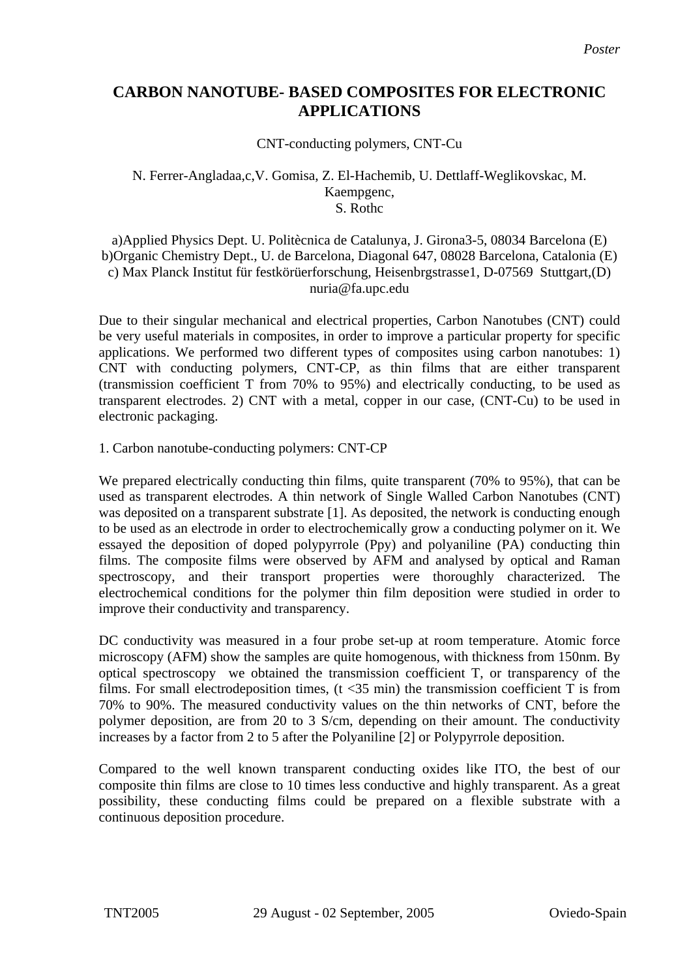## **CARBON NANOTUBE- BASED COMPOSITES FOR ELECTRONIC APPLICATIONS**

CNT-conducting polymers, CNT-Cu

## N. Ferrer-Angladaa,c,V. Gomisa, Z. El-Hachemib, U. Dettlaff-Weglikovskac, M. Kaempgenc, S. Rothc

a)Applied Physics Dept. U. Politècnica de Catalunya, J. Girona3-5, 08034 Barcelona (E) b)Organic Chemistry Dept., U. de Barcelona, Diagonal 647, 08028 Barcelona, Catalonia (E) c) Max Planck Institut für festkörüerforschung, Heisenbrgstrasse1, D-07569 Stuttgart,(D) nuria@fa.upc.edu

Due to their singular mechanical and electrical properties, Carbon Nanotubes (CNT) could be very useful materials in composites, in order to improve a particular property for specific applications. We performed two different types of composites using carbon nanotubes: 1) CNT with conducting polymers, CNT-CP, as thin films that are either transparent (transmission coefficient T from 70% to 95%) and electrically conducting, to be used as transparent electrodes. 2) CNT with a metal, copper in our case, (CNT-Cu) to be used in electronic packaging.

1. Carbon nanotube-conducting polymers: CNT-CP

We prepared electrically conducting thin films, quite transparent (70% to 95%), that can be used as transparent electrodes. A thin network of Single Walled Carbon Nanotubes (CNT) was deposited on a transparent substrate [1]. As deposited, the network is conducting enough to be used as an electrode in order to electrochemically grow a conducting polymer on it. We essayed the deposition of doped polypyrrole (Ppy) and polyaniline (PA) conducting thin films. The composite films were observed by AFM and analysed by optical and Raman spectroscopy, and their transport properties were thoroughly characterized. The electrochemical conditions for the polymer thin film deposition were studied in order to improve their conductivity and transparency.

DC conductivity was measured in a four probe set-up at room temperature. Atomic force microscopy (AFM) show the samples are quite homogenous, with thickness from 150nm. By optical spectroscopy we obtained the transmission coefficient T, or transparency of the films. For small electrodeposition times,  $(t \le 35 \text{ min})$  the transmission coefficient T is from 70% to 90%. The measured conductivity values on the thin networks of CNT, before the polymer deposition, are from 20 to 3 S/cm, depending on their amount. The conductivity increases by a factor from 2 to 5 after the Polyaniline [2] or Polypyrrole deposition.

Compared to the well known transparent conducting oxides like ITO, the best of our composite thin films are close to 10 times less conductive and highly transparent. As a great possibility, these conducting films could be prepared on a flexible substrate with a continuous deposition procedure.